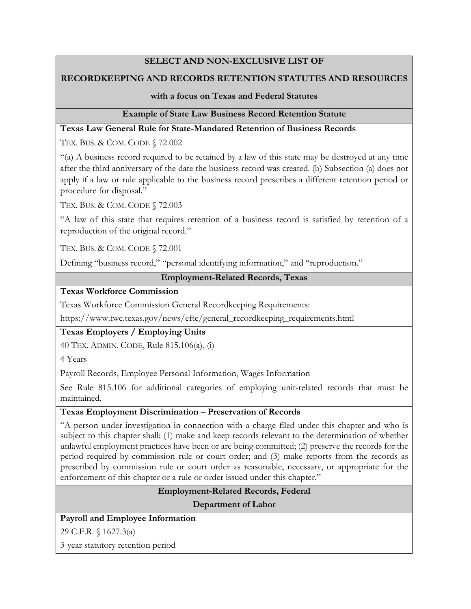## **SELECT AND NON-EXCLUSIVE LIST OF**

### **RECORDKEEPING AND RECORDS RETENTION STATUTES AND RESOURCES**

#### **with a focus on Texas and Federal Statutes**

#### **Example of State Law Business Record Retention Statute**

### **Texas Law General Rule for State-Mandated Retention of Business Records**

TEX. BUS. & COM. CODE § 72.002

"(a) A business record required to be retained by a law of this state may be destroyed at any time after the third anniversary of the date the business record was created. (b) Subsection (a) does not apply if a law or rule applicable to the business record prescribes a different retention period or procedure for disposal."

TEX. BUS. & COM. CODE § 72.003

"A law of this state that requires retention of a business record is satisfied by retention of a reproduction of the original record."

TEX. BUS. & COM. CODE § 72.001

Defining "business record," "personal identifying information," and "reproduction."

### **Employment-Related Records, Texas**

**Texas Workforce Commission**

Texas Workforce Commission General Recordkeeping Requirements:

https://www.twc.texas.gov/news/efte/general\_recordkeeping\_requirements.html

#### **Texas Employers / Employing Units**

40 TEX. ADMIN. CODE, Rule 815.106(a), (i)

4 Years

Payroll Records, Employee Personal Information, Wages Information

See Rule 815.106 for additional categories of employing unit-related records that must be maintained.

#### **Texas Employment Discrimination – Preservation of Records**

"A person under investigation in connection with a charge filed under this chapter and who is subject to this chapter shall: (1) make and keep records relevant to the determination of whether unlawful employment practices have been or are being committed; (2) preserve the records for the period required by commission rule or court order; and (3) make reports from the records as prescribed by commission rule or court order as reasonable, necessary, or appropriate for the enforcement of this chapter or a rule or order issued under this chapter."

#### **Employment-Related Records, Federal**

**Department of Labor**

## **Payroll and Employee Information**

29 C.F.R. § 1627.3(a)

3-year statutory retention period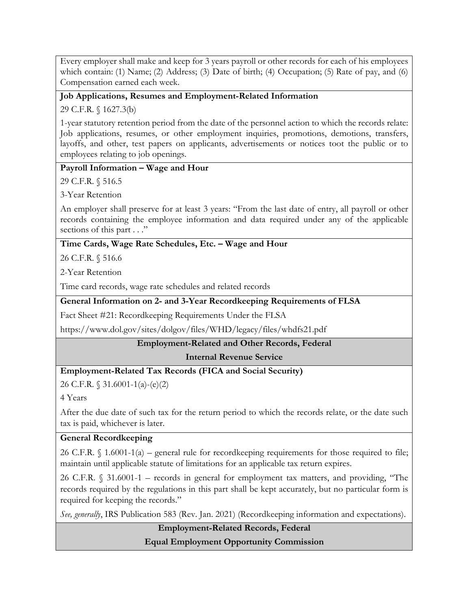Every employer shall make and keep for 3 years payroll or other records for each of his employees which contain: (1) Name; (2) Address; (3) Date of birth; (4) Occupation; (5) Rate of pay, and (6) Compensation earned each week.

#### **Job Applications, Resumes and Employment-Related Information**

29 C.F.R. § 1627.3(b)

1-year statutory retention period from the date of the personnel action to which the records relate: Job applications, resumes, or other employment inquiries, promotions, demotions, transfers, layoffs, and other, test papers on applicants, advertisements or notices toot the public or to employees relating to job openings.

#### **Payroll Information – Wage and Hour**

29 C.F.R. § 516.5

3-Year Retention

An employer shall preserve for at least 3 years: "From the last date of entry, all payroll or other records containing the employee information and data required under any of the applicable sections of this part . . ."

#### **Time Cards, Wage Rate Schedules, Etc. – Wage and Hour**

26 C.F.R. § 516.6

2-Year Retention

Time card records, wage rate schedules and related records

#### **General Information on 2- and 3-Year Recordkeeping Requirements of FLSA**

Fact Sheet #21: Recordkeeping Requirements Under the FLSA

https://www.dol.gov/sites/dolgov/files/WHD/legacy/files/whdfs21.pdf

**Employment-Related and Other Records, Federal**

**Internal Revenue Service**

#### **Employment-Related Tax Records (FICA and Social Security)**

26 C.F.R. § 31.6001-1(a)-(e)(2)

4 Years

After the due date of such tax for the return period to which the records relate, or the date such tax is paid, whichever is later.

#### **General Recordkeeping**

26 C.F.R. § 1.6001-1(a) – general rule for recordkeeping requirements for those required to file; maintain until applicable statute of limitations for an applicable tax return expires.

26 C.F.R. § 31.6001-1 – records in general for employment tax matters, and providing, "The records required by the regulations in this part shall be kept accurately, but no particular form is required for keeping the records."

*See, generally*, IRS Publication 583 (Rev. Jan. 2021) (Recordkeeping information and expectations).

**Employment-Related Records, Federal Equal Employment Opportunity Commission**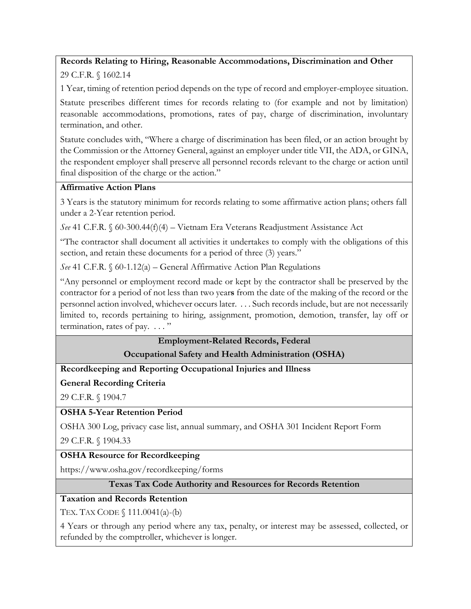# **Records Relating to Hiring, Reasonable Accommodations, Discrimination and Other**

29 C.F.R. § 1602.14

1 Year, timing of retention period depends on the type of record and employer-employee situation.

Statute prescribes different times for records relating to (for example and not by limitation) reasonable accommodations, promotions, rates of pay, charge of discrimination, involuntary termination, and other.

Statute concludes with, "Where a charge of discrimination has been filed, or an action brought by the Commission or the Attorney General, against an employer under title VII, the ADA, or GINA, the respondent employer shall preserve all personnel records relevant to the charge or action until final disposition of the charge or the action."

## **Affirmative Action Plans**

3 Years is the statutory minimum for records relating to some affirmative action plans; others fall under a 2-Year retention period.

*See* 41 C.F.R. § 60-300.44(f)(4) – Vietnam Era Veterans Readjustment Assistance Act

"The contractor shall document all activities it undertakes to comply with the obligations of this section, and retain these documents for a period of three (3) years."

*See* 41 C.F.R. § 60-1.12(a) – General Affirmative Action Plan Regulations

"Any personnel or employment record made or kept by the contractor shall be preserved by the contractor for a period of not less than two year**s** from the date of the making of the record or the personnel action involved, whichever occurs later. . . . Such records include, but are not necessarily limited to, records pertaining to hiring, assignment, promotion, demotion, transfer, lay off or termination, rates of pay.  $\dots$ "

> **Employment-Related Records, Federal Occupational Safety and Health Administration (OSHA)**

**Recordkeeping and Reporting Occupational Injuries and Illness**

# **General Recording Criteria**

29 C.F.R. § 1904.7

**OSHA 5-Year Retention Period**

OSHA 300 Log, privacy case list, annual summary, and OSHA 301 Incident Report Form

29 C.F.R. § 1904.33

# **OSHA Resource for Recordkeeping**

https://www.osha.gov/recordkeeping/forms

## **Texas Tax Code Authority and Resources for Records Retention**

# **Taxation and Records Retention**

TEX. TAX CODE § 111.0041(a)-(b)

4 Years or through any period where any tax, penalty, or interest may be assessed, collected, or refunded by the comptroller, whichever is longer.